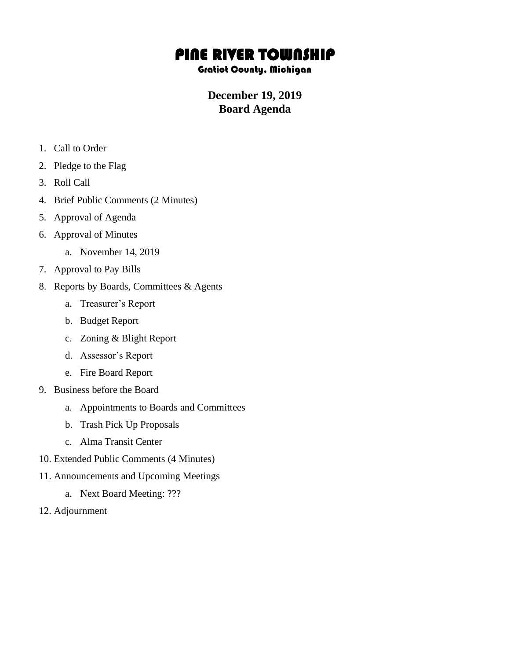## PINE RIVER TOWNSHIP

## Gratiot County, Michigan

## **December 19, 2019 Board Agenda**

- 1. Call to Order
- 2. Pledge to the Flag
- 3. Roll Call
- 4. Brief Public Comments (2 Minutes)
- 5. Approval of Agenda
- 6. Approval of Minutes
	- a. November 14, 2019
- 7. Approval to Pay Bills
- 8. Reports by Boards, Committees & Agents
	- a. Treasurer's Report
	- b. Budget Report
	- c. Zoning & Blight Report
	- d. Assessor's Report
	- e. Fire Board Report
- 9. Business before the Board
	- a. Appointments to Boards and Committees
	- b. Trash Pick Up Proposals
	- c. Alma Transit Center
- 10. Extended Public Comments (4 Minutes)
- 11. Announcements and Upcoming Meetings
	- a. Next Board Meeting: ???
- 12. Adjournment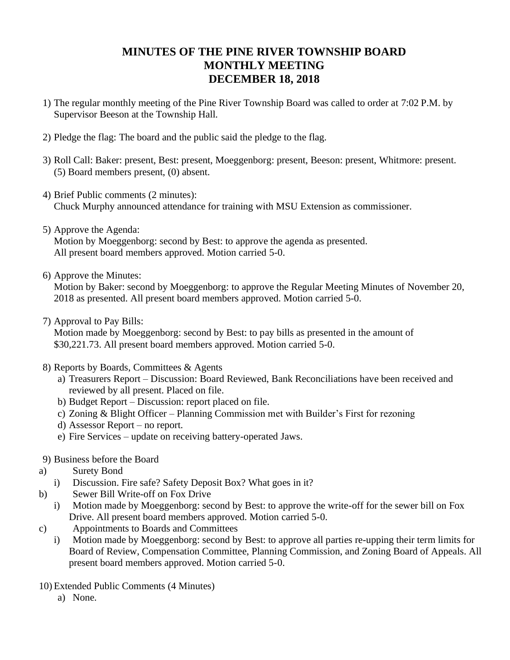## **MINUTES OF THE PINE RIVER TOWNSHIP BOARD MONTHLY MEETING DECEMBER 18, 2018**

- 1) The regular monthly meeting of the Pine River Township Board was called to order at 7:02 P.M. by Supervisor Beeson at the Township Hall.
- 2) Pledge the flag: The board and the public said the pledge to the flag.
- 3) Roll Call: Baker: present, Best: present, Moeggenborg: present, Beeson: present, Whitmore: present. (5) Board members present, (0) absent.
- 4) Brief Public comments (2 minutes): Chuck Murphy announced attendance for training with MSU Extension as commissioner.
- 5) Approve the Agenda:

Motion by Moeggenborg: second by Best: to approve the agenda as presented. All present board members approved. Motion carried 5-0.

6) Approve the Minutes:

Motion by Baker: second by Moeggenborg: to approve the Regular Meeting Minutes of November 20, 2018 as presented. All present board members approved. Motion carried 5-0.

7) Approval to Pay Bills:

Motion made by Moeggenborg: second by Best: to pay bills as presented in the amount of \$30,221.73. All present board members approved. Motion carried 5-0.

- 8) Reports by Boards, Committees & Agents
	- a) Treasurers Report Discussion: Board Reviewed, Bank Reconciliations have been received and reviewed by all present. Placed on file.
	- b) Budget Report Discussion: report placed on file.
	- c) Zoning & Blight Officer Planning Commission met with Builder's First for rezoning
	- d) Assessor Report no report.
	- e) Fire Services update on receiving battery-operated Jaws.
- 9) Business before the Board
- a) Surety Bond
	- i) Discussion. Fire safe? Safety Deposit Box? What goes in it?
- b) Sewer Bill Write-off on Fox Drive
	- i) Motion made by Moeggenborg: second by Best: to approve the write-off for the sewer bill on Fox Drive. All present board members approved. Motion carried 5-0.
- c) Appointments to Boards and Committees
	- i) Motion made by Moeggenborg: second by Best: to approve all parties re-upping their term limits for Board of Review, Compensation Committee, Planning Commission, and Zoning Board of Appeals. All present board members approved. Motion carried 5-0.
- 10) Extended Public Comments (4 Minutes)
	- a) None.